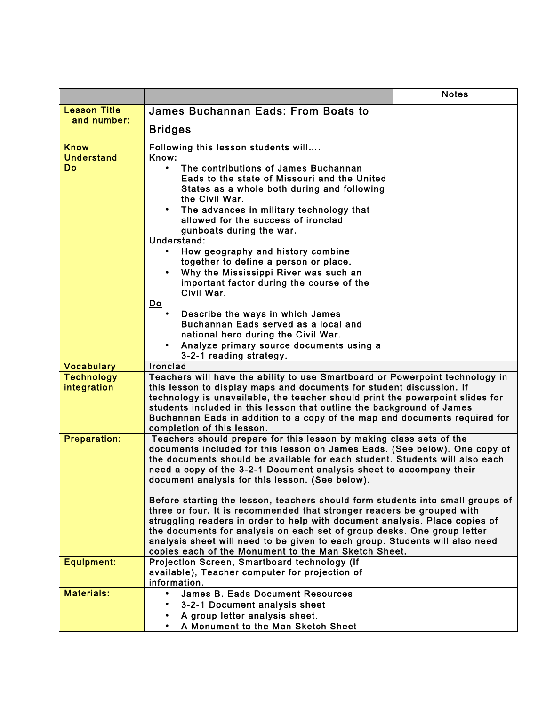| <b>Lesson Title</b><br>James Buchannan Eads: From Boats to<br>and number:<br><b>Bridges</b><br><b>Know</b><br>Following this lesson students will<br><b>Understand</b><br>Know:<br>Do<br>The contributions of James Buchannan<br>Eads to the state of Missouri and the United |
|-------------------------------------------------------------------------------------------------------------------------------------------------------------------------------------------------------------------------------------------------------------------------------|
|                                                                                                                                                                                                                                                                               |
|                                                                                                                                                                                                                                                                               |
|                                                                                                                                                                                                                                                                               |
|                                                                                                                                                                                                                                                                               |
|                                                                                                                                                                                                                                                                               |
|                                                                                                                                                                                                                                                                               |
| States as a whole both during and following                                                                                                                                                                                                                                   |
| the Civil War.                                                                                                                                                                                                                                                                |
| The advances in military technology that<br>allowed for the success of ironclad                                                                                                                                                                                               |
| gunboats during the war.                                                                                                                                                                                                                                                      |
| Understand:                                                                                                                                                                                                                                                                   |
| How geography and history combine<br>together to define a person or place.                                                                                                                                                                                                    |
| Why the Mississippi River was such an                                                                                                                                                                                                                                         |
| important factor during the course of the                                                                                                                                                                                                                                     |
| Civil War.                                                                                                                                                                                                                                                                    |
| $\underline{\mathsf{Do}}$<br>Describe the ways in which James                                                                                                                                                                                                                 |
| Buchannan Eads served as a local and                                                                                                                                                                                                                                          |
| national hero during the Civil War.                                                                                                                                                                                                                                           |
| Analyze primary source documents using a<br>$\bullet$<br>3-2-1 reading strategy.                                                                                                                                                                                              |
| <b>Vocabulary</b><br><b>Ironclad</b>                                                                                                                                                                                                                                          |
| <b>Technology</b><br>Teachers will have the ability to use Smartboard or Powerpoint technology in                                                                                                                                                                             |
| this lesson to display maps and documents for student discussion. If<br>integration                                                                                                                                                                                           |
| technology is unavailable, the teacher should print the powerpoint slides for<br>students included in this lesson that outline the background of James                                                                                                                        |
| Buchannan Eads in addition to a copy of the map and documents required for                                                                                                                                                                                                    |
| completion of this lesson.                                                                                                                                                                                                                                                    |
| <b>Preparation:</b><br>Teachers should prepare for this lesson by making class sets of the<br>documents included for this lesson on James Eads. (See below). One copy of                                                                                                      |
| the documents should be available for each student. Students will also each                                                                                                                                                                                                   |
| need a copy of the 3-2-1 Document analysis sheet to accompany their                                                                                                                                                                                                           |
| document analysis for this lesson. (See below).                                                                                                                                                                                                                               |
| Before starting the lesson, teachers should form students into small groups of                                                                                                                                                                                                |
| three or four. It is recommended that stronger readers be grouped with                                                                                                                                                                                                        |
| struggling readers in order to help with document analysis. Place copies of<br>the documents for analysis on each set of group desks. One group letter                                                                                                                        |
| analysis sheet will need to be given to each group. Students will also need                                                                                                                                                                                                   |
| copies each of the Monument to the Man Sketch Sheet.                                                                                                                                                                                                                          |
| <b>Equipment:</b><br>Projection Screen, Smartboard technology (if<br>available), Teacher computer for projection of                                                                                                                                                           |
| information.                                                                                                                                                                                                                                                                  |
| <b>Materials:</b><br><b>James B. Eads Document Resources</b><br>$\bullet$                                                                                                                                                                                                     |
| 3-2-1 Document analysis sheet                                                                                                                                                                                                                                                 |
| A group letter analysis sheet.<br>A Monument to the Man Sketch Sheet                                                                                                                                                                                                          |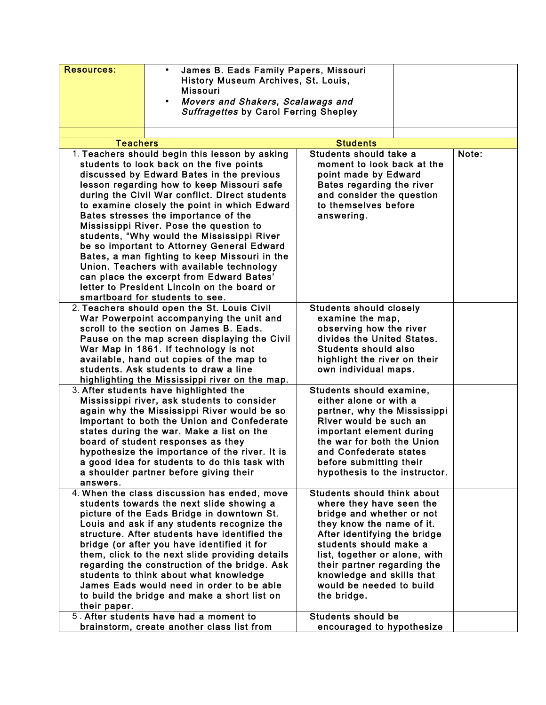| <b>Teachers</b><br><b>Students</b><br>Students should take a<br>1. Teachers should begin this lesson by asking<br>Note:<br>students to look back on the five points<br>moment to look back at the<br>discussed by Edward Bates in the previous<br>point made by Edward<br>lesson regarding how to keep Missouri safe<br>Bates regarding the river<br>during the Civil War conflict. Direct students<br>and consider the question<br>to themselves before<br>to examine closely the point in which Edward<br>Bates stresses the importance of the<br>answering.<br>Mississippi River. Pose the question to<br>students, "Why would the Mississippi River<br>be so important to Attorney General Edward<br>Bates, a man fighting to keep Missouri in the<br>Union. Teachers with available technology<br>can place the excerpt from Edward Bates'<br>letter to President Lincoln on the board or<br>smartboard for students to see.<br>2. Teachers should open the St. Louis Civil<br><b>Students should closely</b><br>War Powerpoint accompanying the unit and<br>examine the map,<br>scroll to the section on James B. Eads.<br>observing how the river<br>divides the United States.<br>Pause on the map screen displaying the Civil<br>War Map in 1861. If technology is not<br><b>Students should also</b><br>available, hand out copies of the map to<br>highlight the river on their<br>students. Ask students to draw a line<br>own individual maps.<br>highlighting the Mississippi river on the map.<br>3. After students have highlighted the<br>Students should examine,<br>Mississippi river, ask students to consider<br>either alone or with a<br>again why the Mississippi River would be so<br>partner, why the Mississippi<br>important to both the Union and Confederate<br>River would be such an<br>states during the war. Make a list on the<br>important element during<br>board of student responses as they<br>the war for both the Union<br>hypothesize the importance of the river. It is<br>and Confederate states<br>a good idea for students to do this task with<br>before submitting their<br>hypothesis to the instructor.<br>a shoulder partner before giving their<br>answers.<br><b>Students should think about</b><br>4. When the class discussion has ended, move<br>students towards the next slide showing a<br>where they have seen the<br>picture of the Eads Bridge in downtown St.<br>bridge and whether or not<br>Louis and ask if any students recognize the<br>they know the name of it.<br>structure. After students have identified the<br>After identifying the bridge<br>students should make a<br>bridge (or after you have identified it for<br>them, click to the next slide providing details<br>list, together or alone, with<br>regarding the construction of the bridge. Ask<br>their partner regarding the<br>knowledge and skills that<br>students to think about what knowledge<br>James Eads would need in order to be able<br>would be needed to build<br>to build the bridge and make a short list on<br>the bridge.<br>their paper.<br>5. After students have had a moment to<br><b>Students should be</b><br>brainstorm, create another class list from<br>encouraged to hypothesize | <b>Resources:</b> | James B. Eads Family Papers, Missouri<br>$\bullet$<br>History Museum Archives, St. Louis,<br><b>Missouri</b><br>Movers and Shakers, Scalawags and<br>$\bullet$<br><b>Suffragettes by Carol Ferring Shepley</b> |  |  |  |
|-------------------------------------------------------------------------------------------------------------------------------------------------------------------------------------------------------------------------------------------------------------------------------------------------------------------------------------------------------------------------------------------------------------------------------------------------------------------------------------------------------------------------------------------------------------------------------------------------------------------------------------------------------------------------------------------------------------------------------------------------------------------------------------------------------------------------------------------------------------------------------------------------------------------------------------------------------------------------------------------------------------------------------------------------------------------------------------------------------------------------------------------------------------------------------------------------------------------------------------------------------------------------------------------------------------------------------------------------------------------------------------------------------------------------------------------------------------------------------------------------------------------------------------------------------------------------------------------------------------------------------------------------------------------------------------------------------------------------------------------------------------------------------------------------------------------------------------------------------------------------------------------------------------------------------------------------------------------------------------------------------------------------------------------------------------------------------------------------------------------------------------------------------------------------------------------------------------------------------------------------------------------------------------------------------------------------------------------------------------------------------------------------------------------------------------------------------------------------------------------------------------------------------------------------------------------------------------------------------------------------------------------------------------------------------------------------------------------------------------------------------------------------------------------------------------------------------------------------------------------------------------------------------------------------------------------------------------------------------------------------------------------------------------------------------------------------------------------------------------------------------------------------------------------------------------------------------------------------------------------------------|-------------------|----------------------------------------------------------------------------------------------------------------------------------------------------------------------------------------------------------------|--|--|--|
|                                                                                                                                                                                                                                                                                                                                                                                                                                                                                                                                                                                                                                                                                                                                                                                                                                                                                                                                                                                                                                                                                                                                                                                                                                                                                                                                                                                                                                                                                                                                                                                                                                                                                                                                                                                                                                                                                                                                                                                                                                                                                                                                                                                                                                                                                                                                                                                                                                                                                                                                                                                                                                                                                                                                                                                                                                                                                                                                                                                                                                                                                                                                                                                                                                                       |                   |                                                                                                                                                                                                                |  |  |  |
|                                                                                                                                                                                                                                                                                                                                                                                                                                                                                                                                                                                                                                                                                                                                                                                                                                                                                                                                                                                                                                                                                                                                                                                                                                                                                                                                                                                                                                                                                                                                                                                                                                                                                                                                                                                                                                                                                                                                                                                                                                                                                                                                                                                                                                                                                                                                                                                                                                                                                                                                                                                                                                                                                                                                                                                                                                                                                                                                                                                                                                                                                                                                                                                                                                                       |                   |                                                                                                                                                                                                                |  |  |  |
|                                                                                                                                                                                                                                                                                                                                                                                                                                                                                                                                                                                                                                                                                                                                                                                                                                                                                                                                                                                                                                                                                                                                                                                                                                                                                                                                                                                                                                                                                                                                                                                                                                                                                                                                                                                                                                                                                                                                                                                                                                                                                                                                                                                                                                                                                                                                                                                                                                                                                                                                                                                                                                                                                                                                                                                                                                                                                                                                                                                                                                                                                                                                                                                                                                                       |                   |                                                                                                                                                                                                                |  |  |  |
|                                                                                                                                                                                                                                                                                                                                                                                                                                                                                                                                                                                                                                                                                                                                                                                                                                                                                                                                                                                                                                                                                                                                                                                                                                                                                                                                                                                                                                                                                                                                                                                                                                                                                                                                                                                                                                                                                                                                                                                                                                                                                                                                                                                                                                                                                                                                                                                                                                                                                                                                                                                                                                                                                                                                                                                                                                                                                                                                                                                                                                                                                                                                                                                                                                                       |                   |                                                                                                                                                                                                                |  |  |  |
|                                                                                                                                                                                                                                                                                                                                                                                                                                                                                                                                                                                                                                                                                                                                                                                                                                                                                                                                                                                                                                                                                                                                                                                                                                                                                                                                                                                                                                                                                                                                                                                                                                                                                                                                                                                                                                                                                                                                                                                                                                                                                                                                                                                                                                                                                                                                                                                                                                                                                                                                                                                                                                                                                                                                                                                                                                                                                                                                                                                                                                                                                                                                                                                                                                                       |                   |                                                                                                                                                                                                                |  |  |  |
|                                                                                                                                                                                                                                                                                                                                                                                                                                                                                                                                                                                                                                                                                                                                                                                                                                                                                                                                                                                                                                                                                                                                                                                                                                                                                                                                                                                                                                                                                                                                                                                                                                                                                                                                                                                                                                                                                                                                                                                                                                                                                                                                                                                                                                                                                                                                                                                                                                                                                                                                                                                                                                                                                                                                                                                                                                                                                                                                                                                                                                                                                                                                                                                                                                                       |                   |                                                                                                                                                                                                                |  |  |  |
|                                                                                                                                                                                                                                                                                                                                                                                                                                                                                                                                                                                                                                                                                                                                                                                                                                                                                                                                                                                                                                                                                                                                                                                                                                                                                                                                                                                                                                                                                                                                                                                                                                                                                                                                                                                                                                                                                                                                                                                                                                                                                                                                                                                                                                                                                                                                                                                                                                                                                                                                                                                                                                                                                                                                                                                                                                                                                                                                                                                                                                                                                                                                                                                                                                                       |                   |                                                                                                                                                                                                                |  |  |  |
|                                                                                                                                                                                                                                                                                                                                                                                                                                                                                                                                                                                                                                                                                                                                                                                                                                                                                                                                                                                                                                                                                                                                                                                                                                                                                                                                                                                                                                                                                                                                                                                                                                                                                                                                                                                                                                                                                                                                                                                                                                                                                                                                                                                                                                                                                                                                                                                                                                                                                                                                                                                                                                                                                                                                                                                                                                                                                                                                                                                                                                                                                                                                                                                                                                                       |                   |                                                                                                                                                                                                                |  |  |  |
|                                                                                                                                                                                                                                                                                                                                                                                                                                                                                                                                                                                                                                                                                                                                                                                                                                                                                                                                                                                                                                                                                                                                                                                                                                                                                                                                                                                                                                                                                                                                                                                                                                                                                                                                                                                                                                                                                                                                                                                                                                                                                                                                                                                                                                                                                                                                                                                                                                                                                                                                                                                                                                                                                                                                                                                                                                                                                                                                                                                                                                                                                                                                                                                                                                                       |                   |                                                                                                                                                                                                                |  |  |  |
|                                                                                                                                                                                                                                                                                                                                                                                                                                                                                                                                                                                                                                                                                                                                                                                                                                                                                                                                                                                                                                                                                                                                                                                                                                                                                                                                                                                                                                                                                                                                                                                                                                                                                                                                                                                                                                                                                                                                                                                                                                                                                                                                                                                                                                                                                                                                                                                                                                                                                                                                                                                                                                                                                                                                                                                                                                                                                                                                                                                                                                                                                                                                                                                                                                                       |                   |                                                                                                                                                                                                                |  |  |  |
|                                                                                                                                                                                                                                                                                                                                                                                                                                                                                                                                                                                                                                                                                                                                                                                                                                                                                                                                                                                                                                                                                                                                                                                                                                                                                                                                                                                                                                                                                                                                                                                                                                                                                                                                                                                                                                                                                                                                                                                                                                                                                                                                                                                                                                                                                                                                                                                                                                                                                                                                                                                                                                                                                                                                                                                                                                                                                                                                                                                                                                                                                                                                                                                                                                                       |                   |                                                                                                                                                                                                                |  |  |  |
|                                                                                                                                                                                                                                                                                                                                                                                                                                                                                                                                                                                                                                                                                                                                                                                                                                                                                                                                                                                                                                                                                                                                                                                                                                                                                                                                                                                                                                                                                                                                                                                                                                                                                                                                                                                                                                                                                                                                                                                                                                                                                                                                                                                                                                                                                                                                                                                                                                                                                                                                                                                                                                                                                                                                                                                                                                                                                                                                                                                                                                                                                                                                                                                                                                                       |                   |                                                                                                                                                                                                                |  |  |  |
|                                                                                                                                                                                                                                                                                                                                                                                                                                                                                                                                                                                                                                                                                                                                                                                                                                                                                                                                                                                                                                                                                                                                                                                                                                                                                                                                                                                                                                                                                                                                                                                                                                                                                                                                                                                                                                                                                                                                                                                                                                                                                                                                                                                                                                                                                                                                                                                                                                                                                                                                                                                                                                                                                                                                                                                                                                                                                                                                                                                                                                                                                                                                                                                                                                                       |                   |                                                                                                                                                                                                                |  |  |  |
|                                                                                                                                                                                                                                                                                                                                                                                                                                                                                                                                                                                                                                                                                                                                                                                                                                                                                                                                                                                                                                                                                                                                                                                                                                                                                                                                                                                                                                                                                                                                                                                                                                                                                                                                                                                                                                                                                                                                                                                                                                                                                                                                                                                                                                                                                                                                                                                                                                                                                                                                                                                                                                                                                                                                                                                                                                                                                                                                                                                                                                                                                                                                                                                                                                                       |                   |                                                                                                                                                                                                                |  |  |  |
|                                                                                                                                                                                                                                                                                                                                                                                                                                                                                                                                                                                                                                                                                                                                                                                                                                                                                                                                                                                                                                                                                                                                                                                                                                                                                                                                                                                                                                                                                                                                                                                                                                                                                                                                                                                                                                                                                                                                                                                                                                                                                                                                                                                                                                                                                                                                                                                                                                                                                                                                                                                                                                                                                                                                                                                                                                                                                                                                                                                                                                                                                                                                                                                                                                                       |                   |                                                                                                                                                                                                                |  |  |  |
|                                                                                                                                                                                                                                                                                                                                                                                                                                                                                                                                                                                                                                                                                                                                                                                                                                                                                                                                                                                                                                                                                                                                                                                                                                                                                                                                                                                                                                                                                                                                                                                                                                                                                                                                                                                                                                                                                                                                                                                                                                                                                                                                                                                                                                                                                                                                                                                                                                                                                                                                                                                                                                                                                                                                                                                                                                                                                                                                                                                                                                                                                                                                                                                                                                                       |                   |                                                                                                                                                                                                                |  |  |  |
|                                                                                                                                                                                                                                                                                                                                                                                                                                                                                                                                                                                                                                                                                                                                                                                                                                                                                                                                                                                                                                                                                                                                                                                                                                                                                                                                                                                                                                                                                                                                                                                                                                                                                                                                                                                                                                                                                                                                                                                                                                                                                                                                                                                                                                                                                                                                                                                                                                                                                                                                                                                                                                                                                                                                                                                                                                                                                                                                                                                                                                                                                                                                                                                                                                                       |                   |                                                                                                                                                                                                                |  |  |  |
|                                                                                                                                                                                                                                                                                                                                                                                                                                                                                                                                                                                                                                                                                                                                                                                                                                                                                                                                                                                                                                                                                                                                                                                                                                                                                                                                                                                                                                                                                                                                                                                                                                                                                                                                                                                                                                                                                                                                                                                                                                                                                                                                                                                                                                                                                                                                                                                                                                                                                                                                                                                                                                                                                                                                                                                                                                                                                                                                                                                                                                                                                                                                                                                                                                                       |                   |                                                                                                                                                                                                                |  |  |  |
|                                                                                                                                                                                                                                                                                                                                                                                                                                                                                                                                                                                                                                                                                                                                                                                                                                                                                                                                                                                                                                                                                                                                                                                                                                                                                                                                                                                                                                                                                                                                                                                                                                                                                                                                                                                                                                                                                                                                                                                                                                                                                                                                                                                                                                                                                                                                                                                                                                                                                                                                                                                                                                                                                                                                                                                                                                                                                                                                                                                                                                                                                                                                                                                                                                                       |                   |                                                                                                                                                                                                                |  |  |  |
|                                                                                                                                                                                                                                                                                                                                                                                                                                                                                                                                                                                                                                                                                                                                                                                                                                                                                                                                                                                                                                                                                                                                                                                                                                                                                                                                                                                                                                                                                                                                                                                                                                                                                                                                                                                                                                                                                                                                                                                                                                                                                                                                                                                                                                                                                                                                                                                                                                                                                                                                                                                                                                                                                                                                                                                                                                                                                                                                                                                                                                                                                                                                                                                                                                                       |                   |                                                                                                                                                                                                                |  |  |  |
|                                                                                                                                                                                                                                                                                                                                                                                                                                                                                                                                                                                                                                                                                                                                                                                                                                                                                                                                                                                                                                                                                                                                                                                                                                                                                                                                                                                                                                                                                                                                                                                                                                                                                                                                                                                                                                                                                                                                                                                                                                                                                                                                                                                                                                                                                                                                                                                                                                                                                                                                                                                                                                                                                                                                                                                                                                                                                                                                                                                                                                                                                                                                                                                                                                                       |                   |                                                                                                                                                                                                                |  |  |  |
|                                                                                                                                                                                                                                                                                                                                                                                                                                                                                                                                                                                                                                                                                                                                                                                                                                                                                                                                                                                                                                                                                                                                                                                                                                                                                                                                                                                                                                                                                                                                                                                                                                                                                                                                                                                                                                                                                                                                                                                                                                                                                                                                                                                                                                                                                                                                                                                                                                                                                                                                                                                                                                                                                                                                                                                                                                                                                                                                                                                                                                                                                                                                                                                                                                                       |                   |                                                                                                                                                                                                                |  |  |  |
|                                                                                                                                                                                                                                                                                                                                                                                                                                                                                                                                                                                                                                                                                                                                                                                                                                                                                                                                                                                                                                                                                                                                                                                                                                                                                                                                                                                                                                                                                                                                                                                                                                                                                                                                                                                                                                                                                                                                                                                                                                                                                                                                                                                                                                                                                                                                                                                                                                                                                                                                                                                                                                                                                                                                                                                                                                                                                                                                                                                                                                                                                                                                                                                                                                                       |                   |                                                                                                                                                                                                                |  |  |  |
|                                                                                                                                                                                                                                                                                                                                                                                                                                                                                                                                                                                                                                                                                                                                                                                                                                                                                                                                                                                                                                                                                                                                                                                                                                                                                                                                                                                                                                                                                                                                                                                                                                                                                                                                                                                                                                                                                                                                                                                                                                                                                                                                                                                                                                                                                                                                                                                                                                                                                                                                                                                                                                                                                                                                                                                                                                                                                                                                                                                                                                                                                                                                                                                                                                                       |                   |                                                                                                                                                                                                                |  |  |  |
|                                                                                                                                                                                                                                                                                                                                                                                                                                                                                                                                                                                                                                                                                                                                                                                                                                                                                                                                                                                                                                                                                                                                                                                                                                                                                                                                                                                                                                                                                                                                                                                                                                                                                                                                                                                                                                                                                                                                                                                                                                                                                                                                                                                                                                                                                                                                                                                                                                                                                                                                                                                                                                                                                                                                                                                                                                                                                                                                                                                                                                                                                                                                                                                                                                                       |                   |                                                                                                                                                                                                                |  |  |  |
|                                                                                                                                                                                                                                                                                                                                                                                                                                                                                                                                                                                                                                                                                                                                                                                                                                                                                                                                                                                                                                                                                                                                                                                                                                                                                                                                                                                                                                                                                                                                                                                                                                                                                                                                                                                                                                                                                                                                                                                                                                                                                                                                                                                                                                                                                                                                                                                                                                                                                                                                                                                                                                                                                                                                                                                                                                                                                                                                                                                                                                                                                                                                                                                                                                                       |                   |                                                                                                                                                                                                                |  |  |  |
|                                                                                                                                                                                                                                                                                                                                                                                                                                                                                                                                                                                                                                                                                                                                                                                                                                                                                                                                                                                                                                                                                                                                                                                                                                                                                                                                                                                                                                                                                                                                                                                                                                                                                                                                                                                                                                                                                                                                                                                                                                                                                                                                                                                                                                                                                                                                                                                                                                                                                                                                                                                                                                                                                                                                                                                                                                                                                                                                                                                                                                                                                                                                                                                                                                                       |                   |                                                                                                                                                                                                                |  |  |  |
|                                                                                                                                                                                                                                                                                                                                                                                                                                                                                                                                                                                                                                                                                                                                                                                                                                                                                                                                                                                                                                                                                                                                                                                                                                                                                                                                                                                                                                                                                                                                                                                                                                                                                                                                                                                                                                                                                                                                                                                                                                                                                                                                                                                                                                                                                                                                                                                                                                                                                                                                                                                                                                                                                                                                                                                                                                                                                                                                                                                                                                                                                                                                                                                                                                                       |                   |                                                                                                                                                                                                                |  |  |  |
|                                                                                                                                                                                                                                                                                                                                                                                                                                                                                                                                                                                                                                                                                                                                                                                                                                                                                                                                                                                                                                                                                                                                                                                                                                                                                                                                                                                                                                                                                                                                                                                                                                                                                                                                                                                                                                                                                                                                                                                                                                                                                                                                                                                                                                                                                                                                                                                                                                                                                                                                                                                                                                                                                                                                                                                                                                                                                                                                                                                                                                                                                                                                                                                                                                                       |                   |                                                                                                                                                                                                                |  |  |  |
|                                                                                                                                                                                                                                                                                                                                                                                                                                                                                                                                                                                                                                                                                                                                                                                                                                                                                                                                                                                                                                                                                                                                                                                                                                                                                                                                                                                                                                                                                                                                                                                                                                                                                                                                                                                                                                                                                                                                                                                                                                                                                                                                                                                                                                                                                                                                                                                                                                                                                                                                                                                                                                                                                                                                                                                                                                                                                                                                                                                                                                                                                                                                                                                                                                                       |                   |                                                                                                                                                                                                                |  |  |  |
|                                                                                                                                                                                                                                                                                                                                                                                                                                                                                                                                                                                                                                                                                                                                                                                                                                                                                                                                                                                                                                                                                                                                                                                                                                                                                                                                                                                                                                                                                                                                                                                                                                                                                                                                                                                                                                                                                                                                                                                                                                                                                                                                                                                                                                                                                                                                                                                                                                                                                                                                                                                                                                                                                                                                                                                                                                                                                                                                                                                                                                                                                                                                                                                                                                                       |                   |                                                                                                                                                                                                                |  |  |  |
|                                                                                                                                                                                                                                                                                                                                                                                                                                                                                                                                                                                                                                                                                                                                                                                                                                                                                                                                                                                                                                                                                                                                                                                                                                                                                                                                                                                                                                                                                                                                                                                                                                                                                                                                                                                                                                                                                                                                                                                                                                                                                                                                                                                                                                                                                                                                                                                                                                                                                                                                                                                                                                                                                                                                                                                                                                                                                                                                                                                                                                                                                                                                                                                                                                                       |                   |                                                                                                                                                                                                                |  |  |  |
|                                                                                                                                                                                                                                                                                                                                                                                                                                                                                                                                                                                                                                                                                                                                                                                                                                                                                                                                                                                                                                                                                                                                                                                                                                                                                                                                                                                                                                                                                                                                                                                                                                                                                                                                                                                                                                                                                                                                                                                                                                                                                                                                                                                                                                                                                                                                                                                                                                                                                                                                                                                                                                                                                                                                                                                                                                                                                                                                                                                                                                                                                                                                                                                                                                                       |                   |                                                                                                                                                                                                                |  |  |  |
|                                                                                                                                                                                                                                                                                                                                                                                                                                                                                                                                                                                                                                                                                                                                                                                                                                                                                                                                                                                                                                                                                                                                                                                                                                                                                                                                                                                                                                                                                                                                                                                                                                                                                                                                                                                                                                                                                                                                                                                                                                                                                                                                                                                                                                                                                                                                                                                                                                                                                                                                                                                                                                                                                                                                                                                                                                                                                                                                                                                                                                                                                                                                                                                                                                                       |                   |                                                                                                                                                                                                                |  |  |  |
|                                                                                                                                                                                                                                                                                                                                                                                                                                                                                                                                                                                                                                                                                                                                                                                                                                                                                                                                                                                                                                                                                                                                                                                                                                                                                                                                                                                                                                                                                                                                                                                                                                                                                                                                                                                                                                                                                                                                                                                                                                                                                                                                                                                                                                                                                                                                                                                                                                                                                                                                                                                                                                                                                                                                                                                                                                                                                                                                                                                                                                                                                                                                                                                                                                                       |                   |                                                                                                                                                                                                                |  |  |  |
|                                                                                                                                                                                                                                                                                                                                                                                                                                                                                                                                                                                                                                                                                                                                                                                                                                                                                                                                                                                                                                                                                                                                                                                                                                                                                                                                                                                                                                                                                                                                                                                                                                                                                                                                                                                                                                                                                                                                                                                                                                                                                                                                                                                                                                                                                                                                                                                                                                                                                                                                                                                                                                                                                                                                                                                                                                                                                                                                                                                                                                                                                                                                                                                                                                                       |                   |                                                                                                                                                                                                                |  |  |  |
|                                                                                                                                                                                                                                                                                                                                                                                                                                                                                                                                                                                                                                                                                                                                                                                                                                                                                                                                                                                                                                                                                                                                                                                                                                                                                                                                                                                                                                                                                                                                                                                                                                                                                                                                                                                                                                                                                                                                                                                                                                                                                                                                                                                                                                                                                                                                                                                                                                                                                                                                                                                                                                                                                                                                                                                                                                                                                                                                                                                                                                                                                                                                                                                                                                                       |                   |                                                                                                                                                                                                                |  |  |  |
|                                                                                                                                                                                                                                                                                                                                                                                                                                                                                                                                                                                                                                                                                                                                                                                                                                                                                                                                                                                                                                                                                                                                                                                                                                                                                                                                                                                                                                                                                                                                                                                                                                                                                                                                                                                                                                                                                                                                                                                                                                                                                                                                                                                                                                                                                                                                                                                                                                                                                                                                                                                                                                                                                                                                                                                                                                                                                                                                                                                                                                                                                                                                                                                                                                                       |                   |                                                                                                                                                                                                                |  |  |  |
|                                                                                                                                                                                                                                                                                                                                                                                                                                                                                                                                                                                                                                                                                                                                                                                                                                                                                                                                                                                                                                                                                                                                                                                                                                                                                                                                                                                                                                                                                                                                                                                                                                                                                                                                                                                                                                                                                                                                                                                                                                                                                                                                                                                                                                                                                                                                                                                                                                                                                                                                                                                                                                                                                                                                                                                                                                                                                                                                                                                                                                                                                                                                                                                                                                                       |                   |                                                                                                                                                                                                                |  |  |  |
|                                                                                                                                                                                                                                                                                                                                                                                                                                                                                                                                                                                                                                                                                                                                                                                                                                                                                                                                                                                                                                                                                                                                                                                                                                                                                                                                                                                                                                                                                                                                                                                                                                                                                                                                                                                                                                                                                                                                                                                                                                                                                                                                                                                                                                                                                                                                                                                                                                                                                                                                                                                                                                                                                                                                                                                                                                                                                                                                                                                                                                                                                                                                                                                                                                                       |                   |                                                                                                                                                                                                                |  |  |  |
|                                                                                                                                                                                                                                                                                                                                                                                                                                                                                                                                                                                                                                                                                                                                                                                                                                                                                                                                                                                                                                                                                                                                                                                                                                                                                                                                                                                                                                                                                                                                                                                                                                                                                                                                                                                                                                                                                                                                                                                                                                                                                                                                                                                                                                                                                                                                                                                                                                                                                                                                                                                                                                                                                                                                                                                                                                                                                                                                                                                                                                                                                                                                                                                                                                                       |                   |                                                                                                                                                                                                                |  |  |  |
|                                                                                                                                                                                                                                                                                                                                                                                                                                                                                                                                                                                                                                                                                                                                                                                                                                                                                                                                                                                                                                                                                                                                                                                                                                                                                                                                                                                                                                                                                                                                                                                                                                                                                                                                                                                                                                                                                                                                                                                                                                                                                                                                                                                                                                                                                                                                                                                                                                                                                                                                                                                                                                                                                                                                                                                                                                                                                                                                                                                                                                                                                                                                                                                                                                                       |                   |                                                                                                                                                                                                                |  |  |  |
|                                                                                                                                                                                                                                                                                                                                                                                                                                                                                                                                                                                                                                                                                                                                                                                                                                                                                                                                                                                                                                                                                                                                                                                                                                                                                                                                                                                                                                                                                                                                                                                                                                                                                                                                                                                                                                                                                                                                                                                                                                                                                                                                                                                                                                                                                                                                                                                                                                                                                                                                                                                                                                                                                                                                                                                                                                                                                                                                                                                                                                                                                                                                                                                                                                                       |                   |                                                                                                                                                                                                                |  |  |  |
|                                                                                                                                                                                                                                                                                                                                                                                                                                                                                                                                                                                                                                                                                                                                                                                                                                                                                                                                                                                                                                                                                                                                                                                                                                                                                                                                                                                                                                                                                                                                                                                                                                                                                                                                                                                                                                                                                                                                                                                                                                                                                                                                                                                                                                                                                                                                                                                                                                                                                                                                                                                                                                                                                                                                                                                                                                                                                                                                                                                                                                                                                                                                                                                                                                                       |                   |                                                                                                                                                                                                                |  |  |  |
|                                                                                                                                                                                                                                                                                                                                                                                                                                                                                                                                                                                                                                                                                                                                                                                                                                                                                                                                                                                                                                                                                                                                                                                                                                                                                                                                                                                                                                                                                                                                                                                                                                                                                                                                                                                                                                                                                                                                                                                                                                                                                                                                                                                                                                                                                                                                                                                                                                                                                                                                                                                                                                                                                                                                                                                                                                                                                                                                                                                                                                                                                                                                                                                                                                                       |                   |                                                                                                                                                                                                                |  |  |  |
|                                                                                                                                                                                                                                                                                                                                                                                                                                                                                                                                                                                                                                                                                                                                                                                                                                                                                                                                                                                                                                                                                                                                                                                                                                                                                                                                                                                                                                                                                                                                                                                                                                                                                                                                                                                                                                                                                                                                                                                                                                                                                                                                                                                                                                                                                                                                                                                                                                                                                                                                                                                                                                                                                                                                                                                                                                                                                                                                                                                                                                                                                                                                                                                                                                                       |                   |                                                                                                                                                                                                                |  |  |  |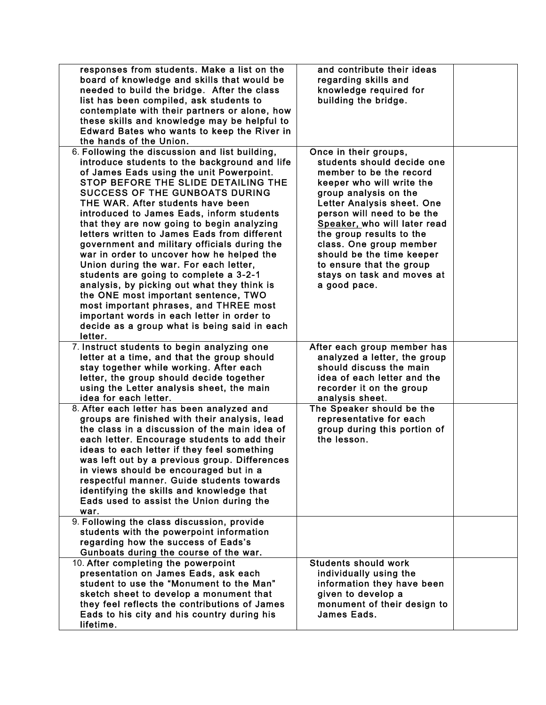| responses from students. Make a list on the<br>board of knowledge and skills that would be<br>needed to build the bridge. After the class<br>list has been compiled, ask students to<br>contemplate with their partners or alone, how<br>these skills and knowledge may be helpful to<br>Edward Bates who wants to keep the River in<br>the hands of the Union.                                                                                                                                                                                                                                                                                                                                                                                                                                                                        | and contribute their ideas<br>regarding skills and<br>knowledge required for<br>building the bridge.                                                                                                                                                                                                                                                                                           |  |
|----------------------------------------------------------------------------------------------------------------------------------------------------------------------------------------------------------------------------------------------------------------------------------------------------------------------------------------------------------------------------------------------------------------------------------------------------------------------------------------------------------------------------------------------------------------------------------------------------------------------------------------------------------------------------------------------------------------------------------------------------------------------------------------------------------------------------------------|------------------------------------------------------------------------------------------------------------------------------------------------------------------------------------------------------------------------------------------------------------------------------------------------------------------------------------------------------------------------------------------------|--|
| 6. Following the discussion and list building,<br>introduce students to the background and life<br>of James Eads using the unit Powerpoint.<br>STOP BEFORE THE SLIDE DETAILING THE<br><b>SUCCESS OF THE GUNBOATS DURING</b><br>THE WAR. After students have been<br>introduced to James Eads, inform students<br>that they are now going to begin analyzing<br>letters written to James Eads from different<br>government and military officials during the<br>war in order to uncover how he helped the<br>Union during the war. For each letter,<br>students are going to complete a 3-2-1<br>analysis, by picking out what they think is<br>the ONE most important sentence, TWO<br>most important phrases, and THREE most<br>important words in each letter in order to<br>decide as a group what is being said in each<br>letter. | Once in their groups,<br>students should decide one<br>member to be the record<br>keeper who will write the<br>group analysis on the<br>Letter Analysis sheet. One<br>person will need to be the<br>Speaker, who will later read<br>the group results to the<br>class. One group member<br>should be the time keeper<br>to ensure that the group<br>stays on task and moves at<br>a good pace. |  |
| 7. Instruct students to begin analyzing one<br>letter at a time, and that the group should<br>stay together while working. After each<br>letter, the group should decide together<br>using the Letter analysis sheet, the main<br>idea for each letter.                                                                                                                                                                                                                                                                                                                                                                                                                                                                                                                                                                                | After each group member has<br>analyzed a letter, the group<br>should discuss the main<br>idea of each letter and the<br>recorder it on the group<br>analysis sheet.                                                                                                                                                                                                                           |  |
| 8. After each letter has been analyzed and<br>groups are finished with their analysis, lead<br>the class in a discussion of the main idea of<br>each letter. Encourage students to add their<br>ideas to each letter if they feel something<br>was left out by a previous group. Differences<br>in views should be encouraged but in a<br>respectful manner. Guide students towards<br>identifying the skills and knowledge that<br>Eads used to assist the Union during the<br>war.                                                                                                                                                                                                                                                                                                                                                   | The Speaker should be the<br>representative for each<br>group during this portion of<br>the lesson.                                                                                                                                                                                                                                                                                            |  |
| 9. Following the class discussion, provide<br>students with the powerpoint information<br>regarding how the success of Eads's<br>Gunboats during the course of the war.                                                                                                                                                                                                                                                                                                                                                                                                                                                                                                                                                                                                                                                                |                                                                                                                                                                                                                                                                                                                                                                                                |  |
| 10. After completing the powerpoint<br>presentation on James Eads, ask each<br>student to use the "Monument to the Man"<br>sketch sheet to develop a monument that<br>they feel reflects the contributions of James<br>Eads to his city and his country during his<br>lifetime.                                                                                                                                                                                                                                                                                                                                                                                                                                                                                                                                                        | <b>Students should work</b><br>individually using the<br>information they have been<br>given to develop a<br>monument of their design to<br>James Eads.                                                                                                                                                                                                                                        |  |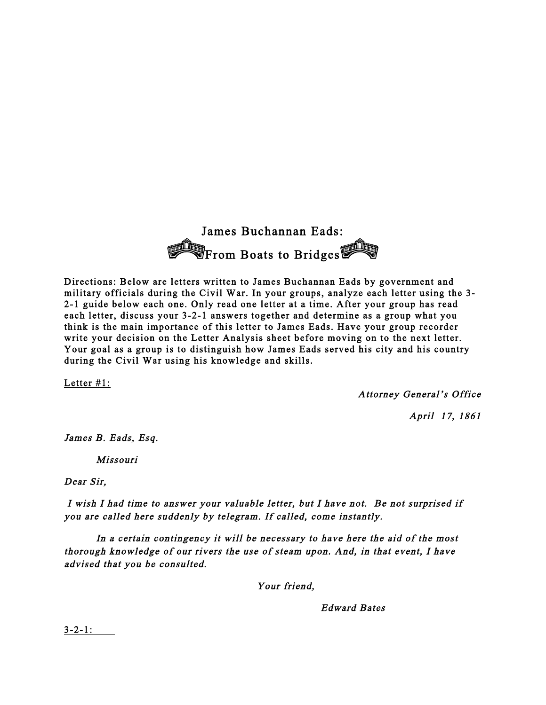

 Directions: Below are letters written to James Buchannan Eads by government and military officials during the Civil War. In your groups, analyze each letter using the 3- 2-1 guide below each one. Only read one letter at a time. After your group has read each letter, discuss your 3-2-1 answers together and determine as a group what you think is the main importance of this letter to James Eads. Have your group recorder write your decision on the Letter Analysis sheet before moving on to the next letter. Your goal as a group is to distinguish how James Eads served his city and his country during the Civil War using his knowledge and skills.

Letter #1:

Attorney General's Office

April 17, 1861

James B. Eads, Esq.

Missouri

Dear Sir,

 I wish I had time to answer your valuable letter, but I have not. Be not surprised if you are called here suddenly by telegram. If called, come instantly.

 In a certain contingency it will be necessary to have here the aid of the most thorough knowledge of our rivers the use of steam upon. And, in that event, I have advised that you be consulted.

Your friend,

Edward Bates

3-2-1: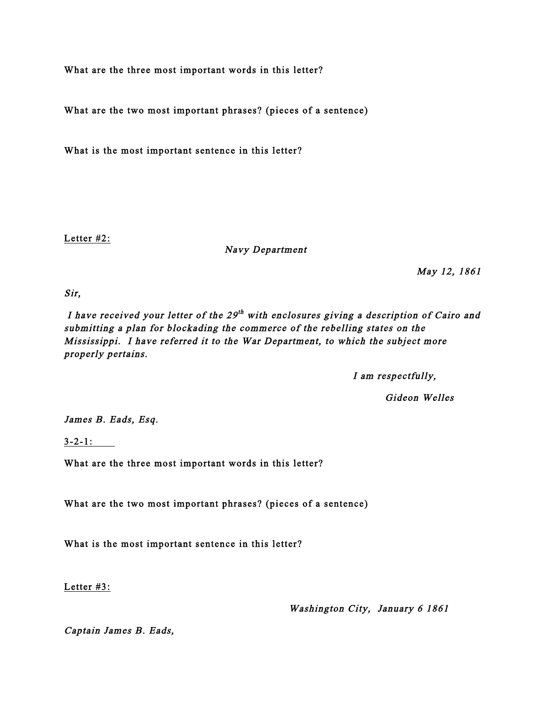What are the three most important words in this letter?

What are the two most important phrases? (pieces of a sentence)

What is the most important sentence in this letter?

Letter #2:

Navy Department

May 12, 1861

Sir,

I have received your letter of the  $29<sup>th</sup>$  with enclosures giving a description of Cairo and submitting a plan for blockading the commerce of the rebelling states on the Mississippi. I have referred it to the War Department, to which the subject more properly pertains.

I am respectfully,

Gideon Welles

James B. Eads, Esq.

3-2-1:

What are the three most important words in this letter?

What are the two most important phrases? (pieces of a sentence)

What is the most important sentence in this letter?

Letter #3:

Washington City, January 6 1861

Captain James B. Eads,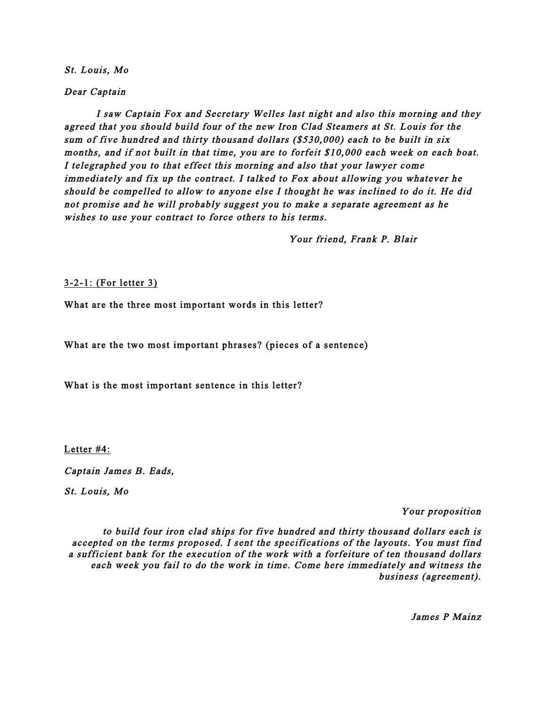St. Louis, Mo

Dear Captain

 I saw Captain Fox and Secretary Welles last night and also this morning and they agreed that you should build four of the new Iron Clad Steamers at St. Louis for the sum of five hundred and thirty thousand dollars (\$530,000) each to be built in six months, and if not built in that time, you are to forfeit \$10,000 each week on each boat. I telegraphed you to that effect this morning and also that your lawyer come immediately and fix up the contract. I talked to Fox about allowing you whatever he should be compelled to allow to anyone else I thought he was inclined to do it. He did not promise and he will probably suggest you to make a separate agreement as he wishes to use your contract to force others to his terms.

Your friend, Frank P. Blair

3-2-1: (For letter 3)

What are the three most important words in this letter?

What are the two most important phrases? (pieces of a sentence)

What is the most important sentence in this letter?

Letter #4:

Captain James B. Eads,

St. Louis, Mo

Your proposition

to build four iron clad ships for five hundred and thirty thousand dollars each is accepted on the terms proposed. I sent the specifications of the layouts. You must find a sufficient bank for the execution of the work with a forfeiture of ten thousand dollars each week you fail to do the work in time. Come here immediately and witness the business (agreement).

James P Mainz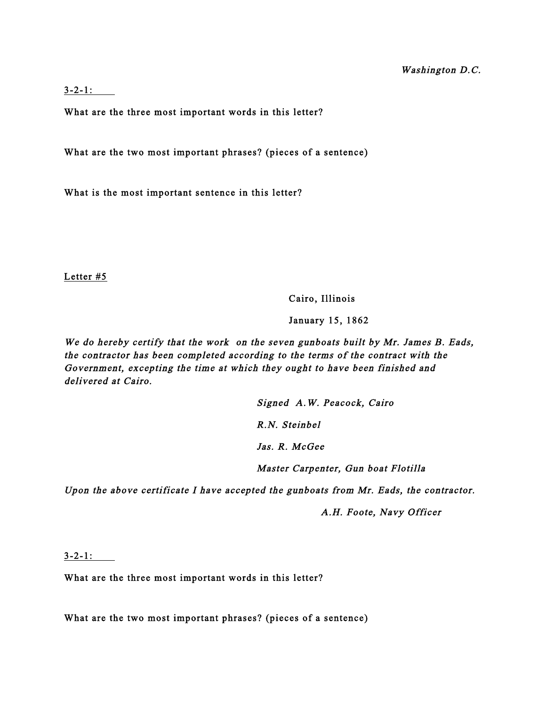3-2-1:

What are the three most important words in this letter?

What are the two most important phrases? (pieces of a sentence)

What is the most important sentence in this letter?

Letter #5

Cairo, Illinois

January 15, 1862

We do hereby certify that the work on the seven gunboats built by Mr. James B. Eads, the contractor has been completed according to the terms of the contract with the Government, excepting the time at which they ought to have been finished and delivered at Cairo.

> Signed A.W. Peacock, Cairo R.N. Steinbel Jas. R. McGee Master Carpenter, Gun boat Flotilla

Upon the above certificate I have accepted the gunboats from Mr. Eads, the contractor.

A.H. Foote, Navy Officer

3-2-1:

What are the three most important words in this letter?

What are the two most important phrases? (pieces of a sentence)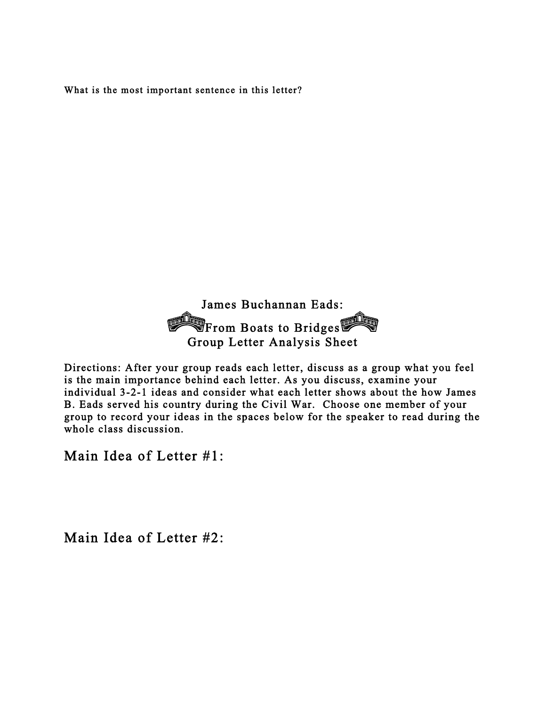What is the most important sentence in this letter?



Directions: After your group reads each letter, discuss as a group what you feel is the main importance behind each letter. As you discuss, examine your individual 3-2-1 ideas and consider what each letter shows about the how James B. Eads served his country during the Civil War. Choose one member of your group to record your ideas in the spaces below for the speaker to read during the whole class discussion.

Main Idea of Letter #1:

Main Idea of Letter #2: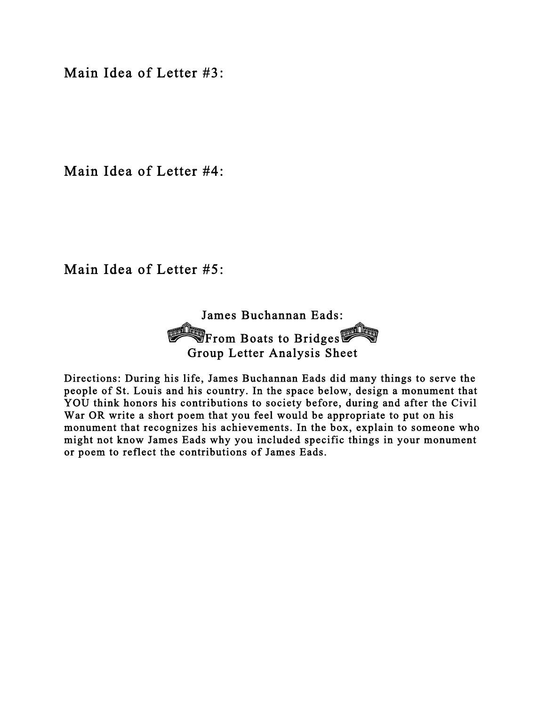Main Idea of Letter #3:

Main Idea of Letter #4:

Main Idea of Letter #5:

James Buchannan Eads: **From Boats to Bridges** Group Letter Analysis Sheet

Directions: During his life, James Buchannan Eads did many things to serve the people of St. Louis and his country. In the space below, design a monument that YOU think honors his contributions to society before, during and after the Civil War OR write a short poem that you feel would be appropriate to put on his monument that recognizes his achievements. In the box, explain to someone who might not know James Eads why you included specific things in your monument or poem to reflect the contributions of James Eads.